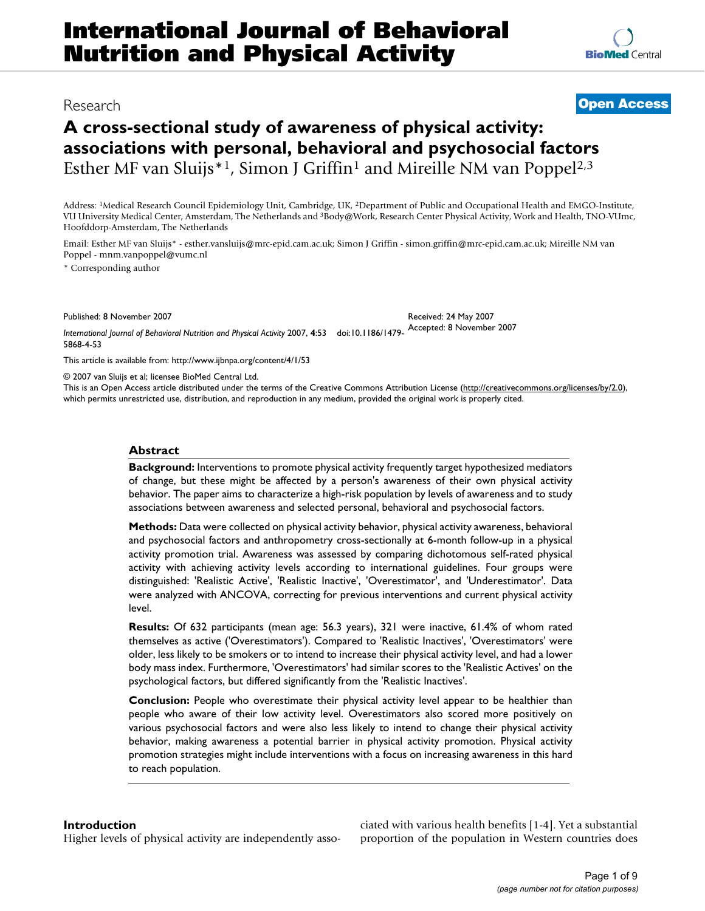# **A cross-sectional study of awareness of physical activity: associations with personal, behavioral and psychosocial factors** Esther MF van Sluijs<sup>\*1</sup>, Simon J Griffin<sup>1</sup> and Mireille NM van Poppel<sup>2,3</sup>

Received: 24 May 2007

**[BioMed](http://www.biomedcentral.com/)** Central

Address: 1Medical Research Council Epidemiology Unit, Cambridge, UK, 2Department of Public and Occupational Health and EMGO-Institute, VU University Medical Center, Amsterdam, The Netherlands and 3Body@Work, Research Center Physical Activity, Work and Health, TNO-VUmc, Hoofddorp-Amsterdam, The Netherlands

Email: Esther MF van Sluijs\* - esther.vansluijs@mrc-epid.cam.ac.uk; Simon J Griffin - simon.griffin@mrc-epid.cam.ac.uk; Mireille NM van Poppel - mnm.vanpoppel@vumc.nl

\* Corresponding author

Published: 8 November 2007

*International Journal of Behavioral Nutrition and Physical Activity* 2007, **4**:53 doi:10.1186/1479- Accepted: 8 November 2007 5868-4-53

[This article is available from: http://www.ijbnpa.org/content/4/1/53](http://www.ijbnpa.org/content/4/1/53)

© 2007 van Sluijs et al; licensee BioMed Central Ltd.

This is an Open Access article distributed under the terms of the Creative Commons Attribution License [\(http://creativecommons.org/licenses/by/2.0\)](http://creativecommons.org/licenses/by/2.0), which permits unrestricted use, distribution, and reproduction in any medium, provided the original work is properly cited.

# **Abstract**

**Background:** Interventions to promote physical activity frequently target hypothesized mediators of change, but these might be affected by a person's awareness of their own physical activity behavior. The paper aims to characterize a high-risk population by levels of awareness and to study associations between awareness and selected personal, behavioral and psychosocial factors.

**Methods:** Data were collected on physical activity behavior, physical activity awareness, behavioral and psychosocial factors and anthropometry cross-sectionally at 6-month follow-up in a physical activity promotion trial. Awareness was assessed by comparing dichotomous self-rated physical activity with achieving activity levels according to international guidelines. Four groups were distinguished: 'Realistic Active', 'Realistic Inactive', 'Overestimator', and 'Underestimator'. Data were analyzed with ANCOVA, correcting for previous interventions and current physical activity level.

**Results:** Of 632 participants (mean age: 56.3 years), 321 were inactive, 61.4% of whom rated themselves as active ('Overestimators'). Compared to 'Realistic Inactives', 'Overestimators' were older, less likely to be smokers or to intend to increase their physical activity level, and had a lower body mass index. Furthermore, 'Overestimators' had similar scores to the 'Realistic Actives' on the psychological factors, but differed significantly from the 'Realistic Inactives'.

**Conclusion:** People who overestimate their physical activity level appear to be healthier than people who aware of their low activity level. Overestimators also scored more positively on various psychosocial factors and were also less likely to intend to change their physical activity behavior, making awareness a potential barrier in physical activity promotion. Physical activity promotion strategies might include interventions with a focus on increasing awareness in this hard to reach population.

# **Introduction**

Higher levels of physical activity are independently asso-

ciated with various health benefits [1-4]. Yet a substantial proportion of the population in Western countries does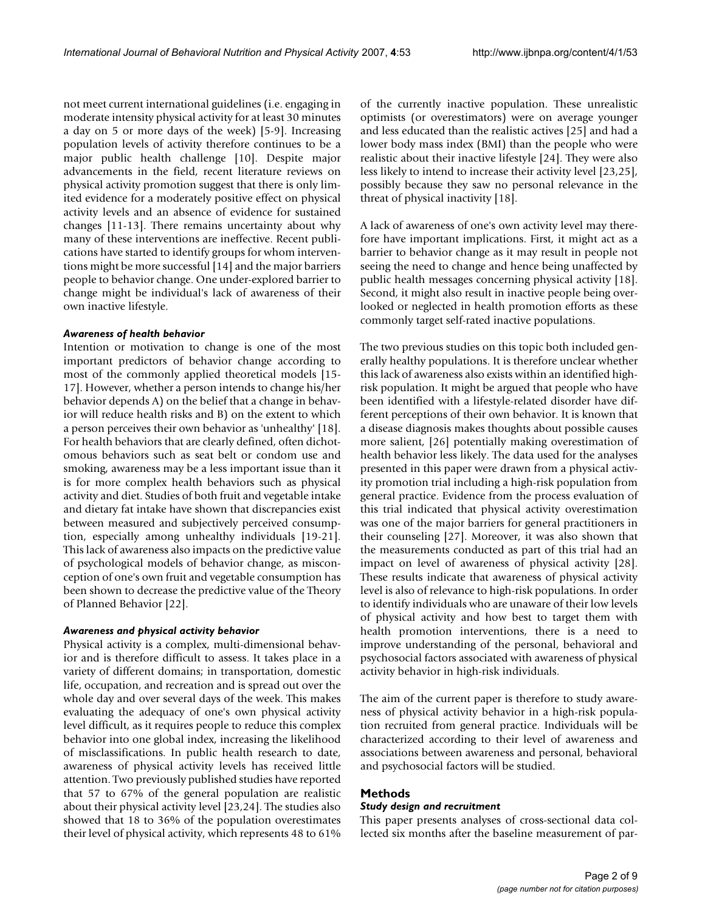not meet current international guidelines (i.e. engaging in moderate intensity physical activity for at least 30 minutes a day on 5 or more days of the week) [5-9]. Increasing population levels of activity therefore continues to be a major public health challenge [10]. Despite major advancements in the field, recent literature reviews on physical activity promotion suggest that there is only limited evidence for a moderately positive effect on physical activity levels and an absence of evidence for sustained changes [11-13]. There remains uncertainty about why many of these interventions are ineffective. Recent publications have started to identify groups for whom interventions might be more successful [14] and the major barriers people to behavior change. One under-explored barrier to change might be individual's lack of awareness of their own inactive lifestyle.

# *Awareness of health behavior*

Intention or motivation to change is one of the most important predictors of behavior change according to most of the commonly applied theoretical models [15- 17]. However, whether a person intends to change his/her behavior depends A) on the belief that a change in behavior will reduce health risks and B) on the extent to which a person perceives their own behavior as 'unhealthy' [18]. For health behaviors that are clearly defined, often dichotomous behaviors such as seat belt or condom use and smoking, awareness may be a less important issue than it is for more complex health behaviors such as physical activity and diet. Studies of both fruit and vegetable intake and dietary fat intake have shown that discrepancies exist between measured and subjectively perceived consumption, especially among unhealthy individuals [19-21]. This lack of awareness also impacts on the predictive value of psychological models of behavior change, as misconception of one's own fruit and vegetable consumption has been shown to decrease the predictive value of the Theory of Planned Behavior [22].

# *Awareness and physical activity behavior*

Physical activity is a complex, multi-dimensional behavior and is therefore difficult to assess. It takes place in a variety of different domains; in transportation, domestic life, occupation, and recreation and is spread out over the whole day and over several days of the week. This makes evaluating the adequacy of one's own physical activity level difficult, as it requires people to reduce this complex behavior into one global index, increasing the likelihood of misclassifications. In public health research to date, awareness of physical activity levels has received little attention. Two previously published studies have reported that 57 to 67% of the general population are realistic about their physical activity level [23,24]. The studies also showed that 18 to 36% of the population overestimates their level of physical activity, which represents 48 to 61%

of the currently inactive population. These unrealistic optimists (or overestimators) were on average younger and less educated than the realistic actives [25] and had a lower body mass index (BMI) than the people who were realistic about their inactive lifestyle [24]. They were also less likely to intend to increase their activity level [23,25], possibly because they saw no personal relevance in the threat of physical inactivity [18].

A lack of awareness of one's own activity level may therefore have important implications. First, it might act as a barrier to behavior change as it may result in people not seeing the need to change and hence being unaffected by public health messages concerning physical activity [18]. Second, it might also result in inactive people being overlooked or neglected in health promotion efforts as these commonly target self-rated inactive populations.

The two previous studies on this topic both included generally healthy populations. It is therefore unclear whether this lack of awareness also exists within an identified highrisk population. It might be argued that people who have been identified with a lifestyle-related disorder have different perceptions of their own behavior. It is known that a disease diagnosis makes thoughts about possible causes more salient, [26] potentially making overestimation of health behavior less likely. The data used for the analyses presented in this paper were drawn from a physical activity promotion trial including a high-risk population from general practice. Evidence from the process evaluation of this trial indicated that physical activity overestimation was one of the major barriers for general practitioners in their counseling [27]. Moreover, it was also shown that the measurements conducted as part of this trial had an impact on level of awareness of physical activity [28]. These results indicate that awareness of physical activity level is also of relevance to high-risk populations. In order to identify individuals who are unaware of their low levels of physical activity and how best to target them with health promotion interventions, there is a need to improve understanding of the personal, behavioral and psychosocial factors associated with awareness of physical activity behavior in high-risk individuals.

The aim of the current paper is therefore to study awareness of physical activity behavior in a high-risk population recruited from general practice. Individuals will be characterized according to their level of awareness and associations between awareness and personal, behavioral and psychosocial factors will be studied.

# **Methods**

# *Study design and recruitment*

This paper presents analyses of cross-sectional data collected six months after the baseline measurement of par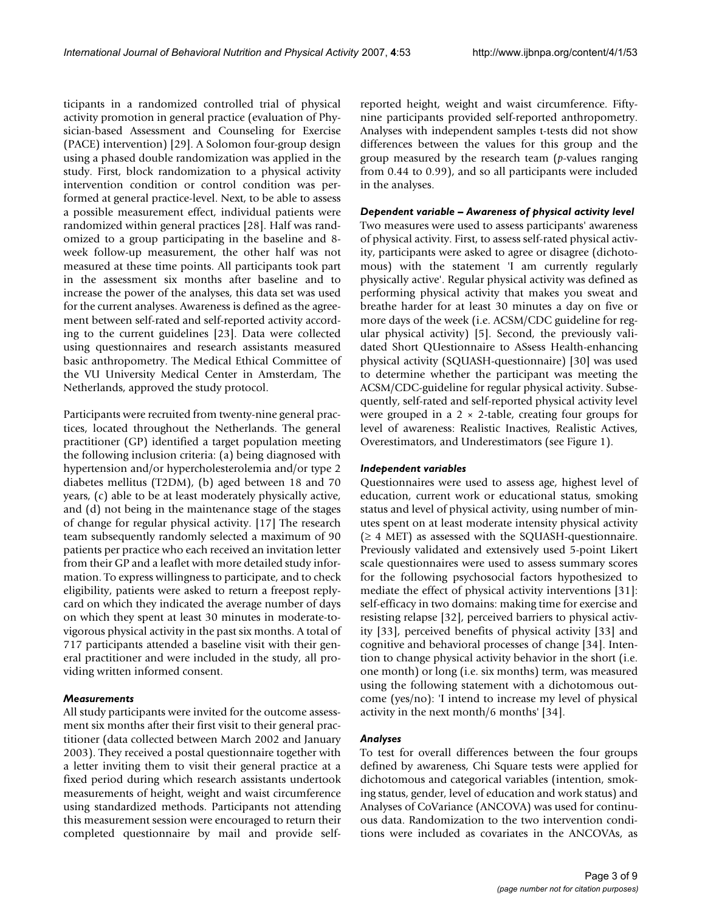ticipants in a randomized controlled trial of physical activity promotion in general practice (evaluation of Physician-based Assessment and Counseling for Exercise (PACE) intervention) [29]. A Solomon four-group design using a phased double randomization was applied in the study. First, block randomization to a physical activity intervention condition or control condition was performed at general practice-level. Next, to be able to assess a possible measurement effect, individual patients were randomized within general practices [28]. Half was randomized to a group participating in the baseline and 8 week follow-up measurement, the other half was not measured at these time points. All participants took part in the assessment six months after baseline and to increase the power of the analyses, this data set was used for the current analyses. Awareness is defined as the agreement between self-rated and self-reported activity according to the current guidelines [23]. Data were collected using questionnaires and research assistants measured basic anthropometry. The Medical Ethical Committee of the VU University Medical Center in Amsterdam, The Netherlands, approved the study protocol.

Participants were recruited from twenty-nine general practices, located throughout the Netherlands. The general practitioner (GP) identified a target population meeting the following inclusion criteria: (a) being diagnosed with hypertension and/or hypercholesterolemia and/or type 2 diabetes mellitus (T2DM), (b) aged between 18 and 70 years, (c) able to be at least moderately physically active, and (d) not being in the maintenance stage of the stages of change for regular physical activity. [17] The research team subsequently randomly selected a maximum of 90 patients per practice who each received an invitation letter from their GP and a leaflet with more detailed study information. To express willingness to participate, and to check eligibility, patients were asked to return a freepost replycard on which they indicated the average number of days on which they spent at least 30 minutes in moderate-tovigorous physical activity in the past six months. A total of 717 participants attended a baseline visit with their general practitioner and were included in the study, all providing written informed consent.

# *Measurements*

All study participants were invited for the outcome assessment six months after their first visit to their general practitioner (data collected between March 2002 and January 2003). They received a postal questionnaire together with a letter inviting them to visit their general practice at a fixed period during which research assistants undertook measurements of height, weight and waist circumference using standardized methods. Participants not attending this measurement session were encouraged to return their completed questionnaire by mail and provide selfreported height, weight and waist circumference. Fiftynine participants provided self-reported anthropometry. Analyses with independent samples t-tests did not show differences between the values for this group and the group measured by the research team (*p*-values ranging from 0.44 to 0.99), and so all participants were included in the analyses.

# *Dependent variable – Awareness of physical activity level*

Two measures were used to assess participants' awareness of physical activity. First, to assess self-rated physical activity, participants were asked to agree or disagree (dichotomous) with the statement 'I am currently regularly physically active'. Regular physical activity was defined as performing physical activity that makes you sweat and breathe harder for at least 30 minutes a day on five or more days of the week (i.e. ACSM/CDC guideline for regular physical activity) [5]. Second, the previously validated Short QUestionnaire to ASsess Health-enhancing physical activity (SQUASH-questionnaire) [30] was used to determine whether the participant was meeting the ACSM/CDC-guideline for regular physical activity. Subsequently, self-rated and self-reported physical activity level were grouped in a  $2 \times 2$ -table, creating four groups for level of awareness: Realistic Inactives, Realistic Actives, Overestimators, and Underestimators (see Figure 1).

#### *Independent variables*

Questionnaires were used to assess age, highest level of education, current work or educational status, smoking status and level of physical activity, using number of minutes spent on at least moderate intensity physical activity  $(\geq 4 \text{ MET})$  as assessed with the SQUASH-questionnaire. Previously validated and extensively used 5-point Likert scale questionnaires were used to assess summary scores for the following psychosocial factors hypothesized to mediate the effect of physical activity interventions [31]: self-efficacy in two domains: making time for exercise and resisting relapse [32], perceived barriers to physical activity [33], perceived benefits of physical activity [33] and cognitive and behavioral processes of change [34]. Intention to change physical activity behavior in the short (i.e. one month) or long (i.e. six months) term, was measured using the following statement with a dichotomous outcome (yes/no): 'I intend to increase my level of physical activity in the next month/6 months' [34].

# *Analyses*

To test for overall differences between the four groups defined by awareness, Chi Square tests were applied for dichotomous and categorical variables (intention, smoking status, gender, level of education and work status) and Analyses of CoVariance (ANCOVA) was used for continuous data. Randomization to the two intervention conditions were included as covariates in the ANCOVAs, as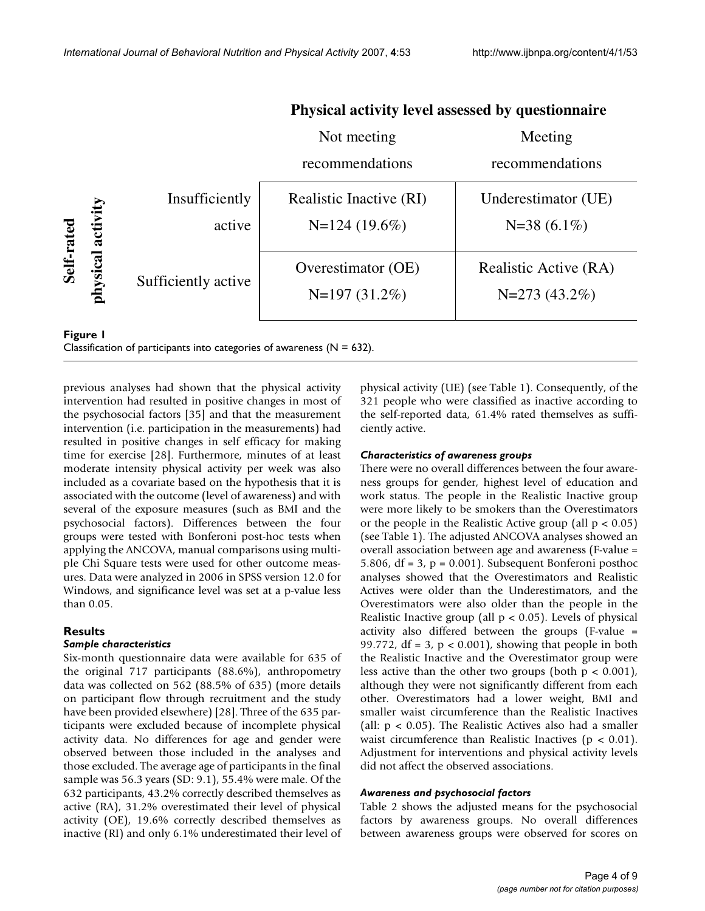|            |          |                          | Not meeting<br>recommendations             | Meeting<br>recommendations               |  |
|------------|----------|--------------------------|--------------------------------------------|------------------------------------------|--|
| Self-rated | activity | Insufficiently<br>active | Realistic Inactive (RI)<br>$N=124(19.6\%)$ | Underestimator (UE)<br>N=38 $(6.1\%)$    |  |
|            | physical | Sufficiently active      | Overestimator (OE)<br>$N=197(31.2\%)$      | Realistic Active (RA)<br>$N=273(43.2\%)$ |  |

# **Physical activity level assessed by questionnaire**

**Figure 1** Classification of participants into categories of awareness ( $N = 632$ ).

previous analyses had shown that the physical activity intervention had resulted in positive changes in most of the psychosocial factors [35] and that the measurement intervention (i.e. participation in the measurements) had resulted in positive changes in self efficacy for making time for exercise [28]. Furthermore, minutes of at least moderate intensity physical activity per week was also included as a covariate based on the hypothesis that it is associated with the outcome (level of awareness) and with several of the exposure measures (such as BMI and the psychosocial factors). Differences between the four groups were tested with Bonferoni post-hoc tests when applying the ANCOVA, manual comparisons using multiple Chi Square tests were used for other outcome measures. Data were analyzed in 2006 in SPSS version 12.0 for Windows, and significance level was set at a p-value less than 0.05.

# **Results**

# *Sample characteristics*

Six-month questionnaire data were available for 635 of the original 717 participants (88.6%), anthropometry data was collected on 562 (88.5% of 635) (more details on participant flow through recruitment and the study have been provided elsewhere) [28]. Three of the 635 participants were excluded because of incomplete physical activity data. No differences for age and gender were observed between those included in the analyses and those excluded. The average age of participants in the final sample was 56.3 years (SD: 9.1), 55.4% were male. Of the 632 participants, 43.2% correctly described themselves as active (RA), 31.2% overestimated their level of physical activity (OE), 19.6% correctly described themselves as inactive (RI) and only 6.1% underestimated their level of physical activity (UE) (see Table 1). Consequently, of the 321 people who were classified as inactive according to the self-reported data, 61.4% rated themselves as sufficiently active.

# *Characteristics of awareness groups*

There were no overall differences between the four awareness groups for gender, highest level of education and work status. The people in the Realistic Inactive group were more likely to be smokers than the Overestimators or the people in the Realistic Active group (all  $p < 0.05$ ) (see Table 1). The adjusted ANCOVA analyses showed an overall association between age and awareness (F-value = 5.806,  $df = 3$ ,  $p = 0.001$ ). Subsequent Bonferoni posthoc analyses showed that the Overestimators and Realistic Actives were older than the Underestimators, and the Overestimators were also older than the people in the Realistic Inactive group (all  $p < 0.05$ ). Levels of physical activity also differed between the groups (F-value = 99.772, df =  $3$ , p < 0.001), showing that people in both the Realistic Inactive and the Overestimator group were less active than the other two groups (both  $p < 0.001$ ), although they were not significantly different from each other. Overestimators had a lower weight, BMI and smaller waist circumference than the Realistic Inactives (all:  $p < 0.05$ ). The Realistic Actives also had a smaller waist circumference than Realistic Inactives ( $p < 0.01$ ). Adjustment for interventions and physical activity levels did not affect the observed associations.

# *Awareness and psychosocial factors*

Table 2 shows the adjusted means for the psychosocial factors by awareness groups. No overall differences between awareness groups were observed for scores on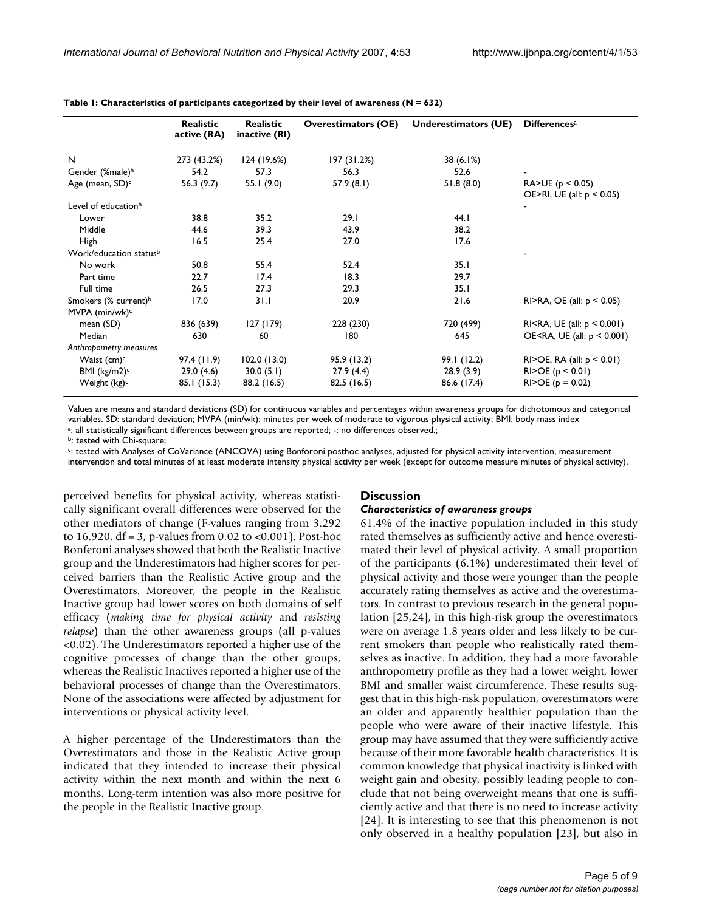|                                  | <b>Realistic</b><br>active (RA) | <b>Realistic</b><br>inactive (RI) | <b>Overestimators (OE)</b> | <b>Underestimators (UE)</b> | <b>Differences</b> <sup>a</sup>                      |
|----------------------------------|---------------------------------|-----------------------------------|----------------------------|-----------------------------|------------------------------------------------------|
| N                                | 273 (43.2%)                     | 124(19.6%)                        | 197 (31.2%)                | 38 (6.1%)                   |                                                      |
| Gender (%male) <sup>b</sup>      | 54.2                            | 57.3                              | 56.3                       | 52.6                        |                                                      |
| Age (mean, SD) <sup>c</sup>      | 56.3(9.7)                       | 55.1 (9.0)                        | 57.9(8.1)                  | 51.8(8.0)                   | RA>UE ( $p < 0.05$ )<br>OE>RI, UE (all: $p < 0.05$ ) |
| Level of education <sup>b</sup>  |                                 |                                   |                            |                             |                                                      |
| Lower                            | 38.8                            | 35.2                              | 29.1                       | 44.I                        |                                                      |
| Middle                           | 44.6                            | 39.3                              | 43.9                       | 38.2                        |                                                      |
| High                             | 16.5                            | 25.4                              | 27.0                       | 17.6                        |                                                      |
| Work/education statusb           |                                 |                                   |                            |                             |                                                      |
| No work                          | 50.8                            | 55.4                              | 52.4                       | 35.1                        |                                                      |
| Part time                        | 22.7                            | 17.4                              | 18.3                       | 29.7                        |                                                      |
| Full time                        | 26.5                            | 27.3                              | 29.3                       | 35.1                        |                                                      |
| Smokers (% current) <sup>b</sup> | 17.0                            | 31.1                              | 20.9                       | 21.6                        | RI>RA, OE (all: $p < 0.05$ )                         |
| MVPA (min/wk) <sup>c</sup>       |                                 |                                   |                            |                             |                                                      |
| mean (SD)                        | 836 (639)                       | 127 (179)                         | 228 (230)                  | 720 (499)                   | RI <ra, (all:="" <math="" ue="">p &lt; 0.001)</ra,>  |
| Median                           | 630                             | 60                                | 180                        | 645                         | OE <ra, (all:="" <math="" ue="">p &lt; 0.001)</ra,>  |
| Anthropometry measures           |                                 |                                   |                            |                             |                                                      |
| Waist $(cm)^c$                   | 97.4 (11.9)                     | 102.0(13.0)                       | 95.9 (13.2)                | 99.1 (12.2)                 | RI>OE, RA (all: $p < 0.01$ )                         |
| BMI ( $kg/m2$ ) <sup>c</sup>     | 29.0(4.6)                       | 30.0(5.1)                         | 27.9(4.4)                  | 28.9(3.9)                   | $R$ > OE ( $p$ < 0.01)                               |
| Weight (kg) <sup>c</sup>         | 85.1 (15.3)                     | 88.2 (16.5)                       | 82.5 (16.5)                | 86.6 (17.4)                 | $R$ I>OE ( $p = 0.02$ )                              |

**Table 1: Characteristics of participants categorized by their level of awareness (N = 632)**

Values are means and standard deviations (SD) for continuous variables and percentages within awareness groups for dichotomous and categorical variables. SD: standard deviation; MVPA (min/wk): minutes per week of moderate to vigorous physical activity; BMI: body mass index a: all statistically significant differences between groups are reported; -: no differences observed.;

b: tested with Chi-square;

c: tested with Analyses of CoVariance (ANCOVA) using Bonforoni posthoc analyses, adjusted for physical activity intervention, measurement intervention and total minutes of at least moderate intensity physical activity per week (except for outcome measure minutes of physical activity).

perceived benefits for physical activity, whereas statistically significant overall differences were observed for the other mediators of change (F-values ranging from 3.292 to 16.920, df = 3, p-values from 0.02 to <0.001). Post-hoc Bonferoni analyses showed that both the Realistic Inactive group and the Underestimators had higher scores for perceived barriers than the Realistic Active group and the Overestimators. Moreover, the people in the Realistic Inactive group had lower scores on both domains of self efficacy (*making time for physical activity* and *resisting relapse*) than the other awareness groups (all p-values <0.02). The Underestimators reported a higher use of the cognitive processes of change than the other groups, whereas the Realistic Inactives reported a higher use of the behavioral processes of change than the Overestimators. None of the associations were affected by adjustment for interventions or physical activity level.

A higher percentage of the Underestimators than the Overestimators and those in the Realistic Active group indicated that they intended to increase their physical activity within the next month and within the next 6 months. Long-term intention was also more positive for the people in the Realistic Inactive group.

# **Discussion**

# *Characteristics of awareness groups*

61.4% of the inactive population included in this study rated themselves as sufficiently active and hence overestimated their level of physical activity. A small proportion of the participants (6.1%) underestimated their level of physical activity and those were younger than the people accurately rating themselves as active and the overestimators. In contrast to previous research in the general population [25,24], in this high-risk group the overestimators were on average 1.8 years older and less likely to be current smokers than people who realistically rated themselves as inactive. In addition, they had a more favorable anthropometry profile as they had a lower weight, lower BMI and smaller waist circumference. These results suggest that in this high-risk population, overestimators were an older and apparently healthier population than the people who were aware of their inactive lifestyle. This group may have assumed that they were sufficiently active because of their more favorable health characteristics. It is common knowledge that physical inactivity is linked with weight gain and obesity, possibly leading people to conclude that not being overweight means that one is sufficiently active and that there is no need to increase activity [24]. It is interesting to see that this phenomenon is not only observed in a healthy population [23], but also in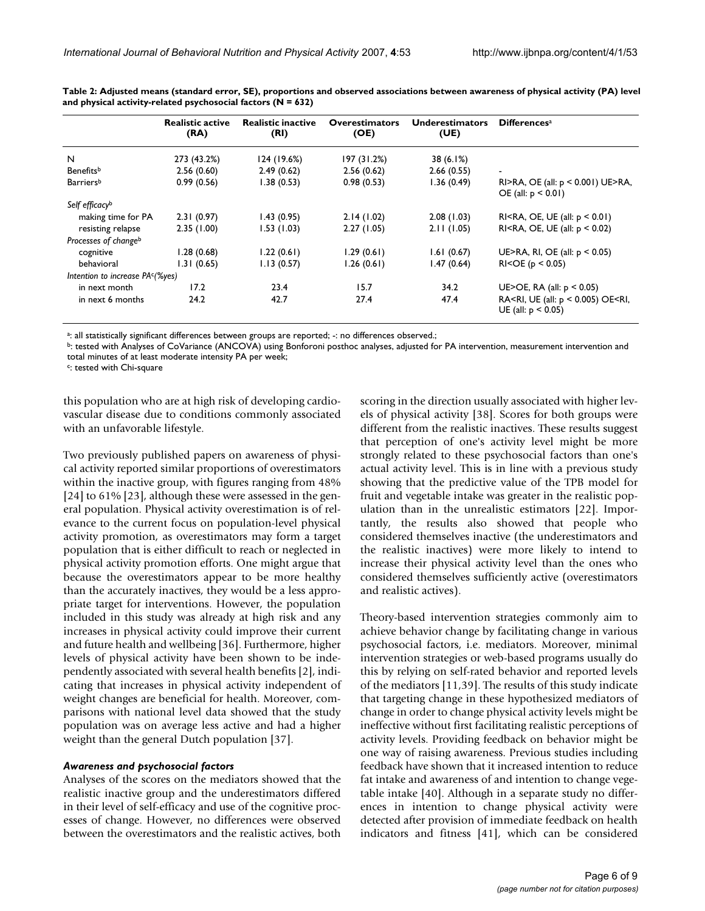|                                              | <b>Realistic active</b><br>(RA) | <b>Realistic inactive</b><br>(RI) | <b>Overestimators</b><br>(OE) | <b>Underestimators</b><br>(UE) | <b>Differences</b> <sup>a</sup>                                                                  |
|----------------------------------------------|---------------------------------|-----------------------------------|-------------------------------|--------------------------------|--------------------------------------------------------------------------------------------------|
| N                                            | 273 (43.2%)                     | 124 (19.6%)                       | 197(31.2%)                    | 38 (6.1%)                      |                                                                                                  |
| Benefitsb                                    | 2.56(0.60)                      | 2.49(0.62)                        | 2.56(0.62)                    | 2.66(0.55)                     |                                                                                                  |
| Barriersb                                    | 0.99(0.56)                      | 1.38(0.53)                        | 0.98(0.53)                    | 1.36(0.49)                     | RI>RA, OE (all: $p < 0.001$ ) UE>RA,<br>OE (all: $p < 0.01$ )                                    |
| Self efficacy <sup>b</sup>                   |                                 |                                   |                               |                                |                                                                                                  |
| making time for PA                           | 2.31(0.97)                      | 1.43(0.95)                        | 2.14(1.02)                    | 2.08(1.03)                     | RI <ra, (all:="" <math="" oe,="" ue="">p &lt; 0.01)</ra,>                                        |
| resisting relapse                            | 2.35(1.00)                      | 1.53(1.03)                        | 2.27(1.05)                    | 2.11(1.05)                     | RI <ra, (all:="" <math="" oe,="" ue="">p &lt; 0.02)</ra,>                                        |
| Processes of changeb                         |                                 |                                   |                               |                                |                                                                                                  |
| cognitive                                    | 1.28(0.68)                      | 1.22(0.61)                        | 1.29(0.61)                    | 1.61(0.67)                     | UE>RA, RI, OE (all: $p < 0.05$ )                                                                 |
| behavioral                                   | 1.31(0.65)                      | 1.13(0.57)                        | 1.26(0.61)                    | 1.47(0.64)                     | RI <oe (<math="">p &lt; 0.05)</oe>                                                               |
| Intention to increase PA <sup>c</sup> (%yes) |                                 |                                   |                               |                                |                                                                                                  |
| in next month                                | 17.2                            | 23.4                              | 15.7                          | 34.2                           | UE>OE, RA (all: $p < 0.05$ )                                                                     |
| in next 6 months                             | 24.2                            | 42.7                              | 27.4                          | 47.4                           | RA <ri, (all:="" 0.005)="" <="" oe<ri,<br="" p="" ue="">UE (all: <math>p &lt; 0.05</math>)</ri,> |

**Table 2: Adjusted means (standard error, SE), proportions and observed associations between awareness of physical activity (PA) level and physical activity-related psychosocial factors (N = 632)**

a: all statistically significant differences between groups are reported; -: no differences observed.;

b: tested with Analyses of CoVariance (ANCOVA) using Bonforoni posthoc analyses, adjusted for PA intervention, measurement intervention and total minutes of at least moderate intensity PA per week;

c: tested with Chi-square

this population who are at high risk of developing cardiovascular disease due to conditions commonly associated with an unfavorable lifestyle.

Two previously published papers on awareness of physical activity reported similar proportions of overestimators within the inactive group, with figures ranging from 48% [24] to 61% [23], although these were assessed in the general population. Physical activity overestimation is of relevance to the current focus on population-level physical activity promotion, as overestimators may form a target population that is either difficult to reach or neglected in physical activity promotion efforts. One might argue that because the overestimators appear to be more healthy than the accurately inactives, they would be a less appropriate target for interventions. However, the population included in this study was already at high risk and any increases in physical activity could improve their current and future health and wellbeing [36]. Furthermore, higher levels of physical activity have been shown to be independently associated with several health benefits [2], indicating that increases in physical activity independent of weight changes are beneficial for health. Moreover, comparisons with national level data showed that the study population was on average less active and had a higher weight than the general Dutch population [37].

# *Awareness and psychosocial factors*

Analyses of the scores on the mediators showed that the realistic inactive group and the underestimators differed in their level of self-efficacy and use of the cognitive processes of change. However, no differences were observed between the overestimators and the realistic actives, both scoring in the direction usually associated with higher levels of physical activity [38]. Scores for both groups were different from the realistic inactives. These results suggest that perception of one's activity level might be more strongly related to these psychosocial factors than one's actual activity level. This is in line with a previous study showing that the predictive value of the TPB model for fruit and vegetable intake was greater in the realistic population than in the unrealistic estimators [22]. Importantly, the results also showed that people who considered themselves inactive (the underestimators and the realistic inactives) were more likely to intend to increase their physical activity level than the ones who considered themselves sufficiently active (overestimators and realistic actives).

Theory-based intervention strategies commonly aim to achieve behavior change by facilitating change in various psychosocial factors, i.e. mediators. Moreover, minimal intervention strategies or web-based programs usually do this by relying on self-rated behavior and reported levels of the mediators [11,39]. The results of this study indicate that targeting change in these hypothesized mediators of change in order to change physical activity levels might be ineffective without first facilitating realistic perceptions of activity levels. Providing feedback on behavior might be one way of raising awareness. Previous studies including feedback have shown that it increased intention to reduce fat intake and awareness of and intention to change vegetable intake [40]. Although in a separate study no differences in intention to change physical activity were detected after provision of immediate feedback on health indicators and fitness [41], which can be considered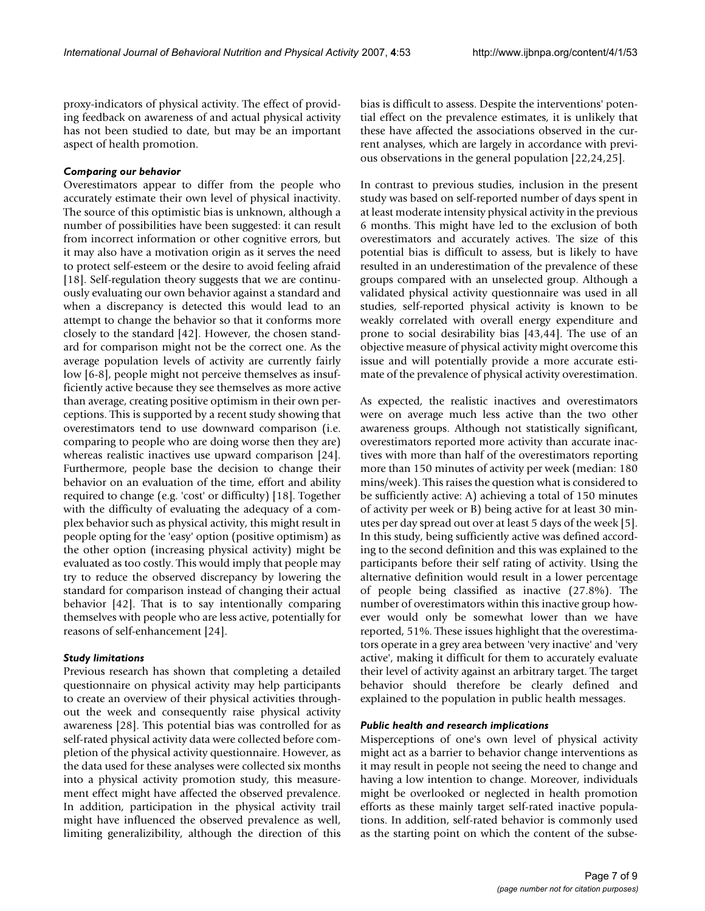proxy-indicators of physical activity. The effect of providing feedback on awareness of and actual physical activity has not been studied to date, but may be an important aspect of health promotion.

# *Comparing our behavior*

Overestimators appear to differ from the people who accurately estimate their own level of physical inactivity. The source of this optimistic bias is unknown, although a number of possibilities have been suggested: it can result from incorrect information or other cognitive errors, but it may also have a motivation origin as it serves the need to protect self-esteem or the desire to avoid feeling afraid [18]. Self-regulation theory suggests that we are continuously evaluating our own behavior against a standard and when a discrepancy is detected this would lead to an attempt to change the behavior so that it conforms more closely to the standard [42]. However, the chosen standard for comparison might not be the correct one. As the average population levels of activity are currently fairly low [6-8], people might not perceive themselves as insufficiently active because they see themselves as more active than average, creating positive optimism in their own perceptions. This is supported by a recent study showing that overestimators tend to use downward comparison (i.e. comparing to people who are doing worse then they are) whereas realistic inactives use upward comparison [24]. Furthermore, people base the decision to change their behavior on an evaluation of the time, effort and ability required to change (e.g. 'cost' or difficulty) [18]. Together with the difficulty of evaluating the adequacy of a complex behavior such as physical activity, this might result in people opting for the 'easy' option (positive optimism) as the other option (increasing physical activity) might be evaluated as too costly. This would imply that people may try to reduce the observed discrepancy by lowering the standard for comparison instead of changing their actual behavior [42]. That is to say intentionally comparing themselves with people who are less active, potentially for reasons of self-enhancement [24].

# *Study limitations*

Previous research has shown that completing a detailed questionnaire on physical activity may help participants to create an overview of their physical activities throughout the week and consequently raise physical activity awareness [28]. This potential bias was controlled for as self-rated physical activity data were collected before completion of the physical activity questionnaire. However, as the data used for these analyses were collected six months into a physical activity promotion study, this measurement effect might have affected the observed prevalence. In addition, participation in the physical activity trail might have influenced the observed prevalence as well, limiting generalizibility, although the direction of this bias is difficult to assess. Despite the interventions' potential effect on the prevalence estimates, it is unlikely that these have affected the associations observed in the current analyses, which are largely in accordance with previous observations in the general population [22,24,25].

In contrast to previous studies, inclusion in the present study was based on self-reported number of days spent in at least moderate intensity physical activity in the previous 6 months. This might have led to the exclusion of both overestimators and accurately actives. The size of this potential bias is difficult to assess, but is likely to have resulted in an underestimation of the prevalence of these groups compared with an unselected group. Although a validated physical activity questionnaire was used in all studies, self-reported physical activity is known to be weakly correlated with overall energy expenditure and prone to social desirability bias [43,44]. The use of an objective measure of physical activity might overcome this issue and will potentially provide a more accurate estimate of the prevalence of physical activity overestimation.

As expected, the realistic inactives and overestimators were on average much less active than the two other awareness groups. Although not statistically significant, overestimators reported more activity than accurate inactives with more than half of the overestimators reporting more than 150 minutes of activity per week (median: 180 mins/week). This raises the question what is considered to be sufficiently active: A) achieving a total of 150 minutes of activity per week or B) being active for at least 30 minutes per day spread out over at least 5 days of the week [5]. In this study, being sufficiently active was defined according to the second definition and this was explained to the participants before their self rating of activity. Using the alternative definition would result in a lower percentage of people being classified as inactive (27.8%). The number of overestimators within this inactive group however would only be somewhat lower than we have reported, 51%. These issues highlight that the overestimators operate in a grey area between 'very inactive' and 'very active', making it difficult for them to accurately evaluate their level of activity against an arbitrary target. The target behavior should therefore be clearly defined and explained to the population in public health messages.

# *Public health and research implications*

Misperceptions of one's own level of physical activity might act as a barrier to behavior change interventions as it may result in people not seeing the need to change and having a low intention to change. Moreover, individuals might be overlooked or neglected in health promotion efforts as these mainly target self-rated inactive populations. In addition, self-rated behavior is commonly used as the starting point on which the content of the subse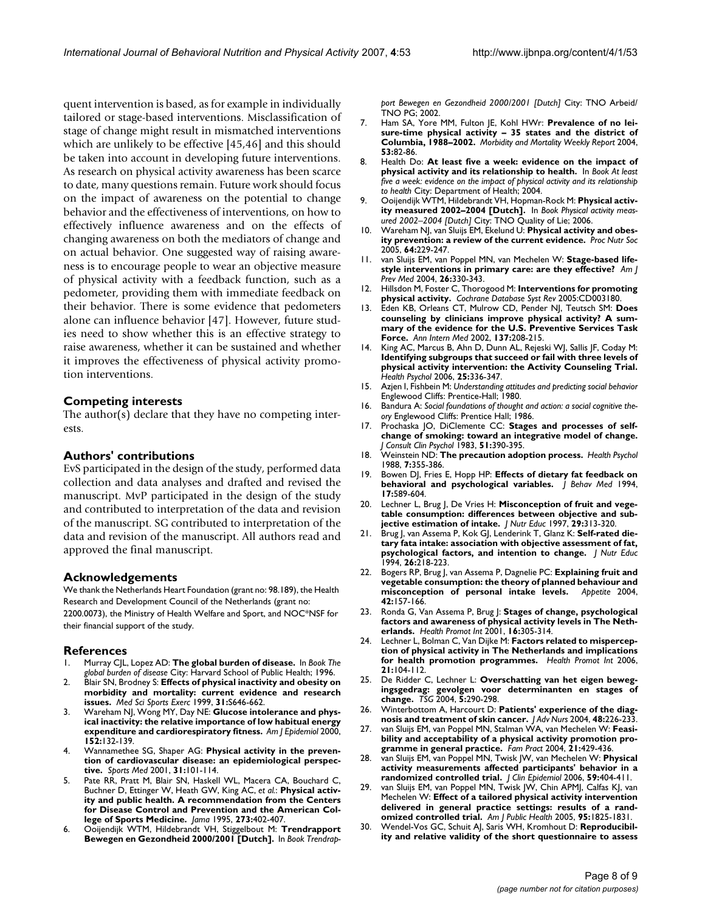quent intervention is based, as for example in individually tailored or stage-based interventions. Misclassification of stage of change might result in mismatched interventions which are unlikely to be effective [45,46] and this should be taken into account in developing future interventions. As research on physical activity awareness has been scarce to date, many questions remain. Future work should focus on the impact of awareness on the potential to change behavior and the effectiveness of interventions, on how to effectively influence awareness and on the effects of changing awareness on both the mediators of change and on actual behavior. One suggested way of raising awareness is to encourage people to wear an objective measure of physical activity with a feedback function, such as a pedometer, providing them with immediate feedback on their behavior. There is some evidence that pedometers alone can influence behavior [47]. However, future studies need to show whether this is an effective strategy to raise awareness, whether it can be sustained and whether it improves the effectiveness of physical activity promotion interventions.

# **Competing interests**

The author(s) declare that they have no competing interests.

# **Authors' contributions**

EvS participated in the design of the study, performed data collection and data analyses and drafted and revised the manuscript. MvP participated in the design of the study and contributed to interpretation of the data and revision of the manuscript. SG contributed to interpretation of the data and revision of the manuscript. All authors read and approved the final manuscript.

# **Acknowledgements**

We thank the Netherlands Heart Foundation (grant no: 98.189), the Health Research and Development Council of the Netherlands (grant no: 2200.0073), the Ministry of Health Welfare and Sport, and NOC\*NSF for their financial support of the study.

# **References**

- 1. Murray CJL, Lopez AD: **The global burden of disease.** In *Book The global burden of disease* City: Harvard School of Public Health; 1996.
- 2. Blair SN, Brodney S: **[Effects of physical inactivity and obesity on](http://www.ncbi.nlm.nih.gov/entrez/query.fcgi?cmd=Retrieve&db=PubMed&dopt=Abstract&list_uids=10593541) [morbidity and mortality: current evidence and research](http://www.ncbi.nlm.nih.gov/entrez/query.fcgi?cmd=Retrieve&db=PubMed&dopt=Abstract&list_uids=10593541) [issues.](http://www.ncbi.nlm.nih.gov/entrez/query.fcgi?cmd=Retrieve&db=PubMed&dopt=Abstract&list_uids=10593541)** *Med Sci Sports Exerc* 1999, **31:**S646-662.
- 3. Wareham NJ, Wong MY, Day NE: **[Glucose intolerance and phys](http://www.ncbi.nlm.nih.gov/entrez/query.fcgi?cmd=Retrieve&db=PubMed&dopt=Abstract&list_uids=10909950)[ical inactivity: the relative importance of low habitual energy](http://www.ncbi.nlm.nih.gov/entrez/query.fcgi?cmd=Retrieve&db=PubMed&dopt=Abstract&list_uids=10909950) [expenditure and cardiorespiratory fitness.](http://www.ncbi.nlm.nih.gov/entrez/query.fcgi?cmd=Retrieve&db=PubMed&dopt=Abstract&list_uids=10909950)** *Am J Epidemiol* 2000, **152:**132-139.
- 4. Wannamethee SG, Shaper AG: **[Physical activity in the preven](http://www.ncbi.nlm.nih.gov/entrez/query.fcgi?cmd=Retrieve&db=PubMed&dopt=Abstract&list_uids=11227978)[tion of cardiovascular disease: an epidemiological perspec](http://www.ncbi.nlm.nih.gov/entrez/query.fcgi?cmd=Retrieve&db=PubMed&dopt=Abstract&list_uids=11227978)[tive.](http://www.ncbi.nlm.nih.gov/entrez/query.fcgi?cmd=Retrieve&db=PubMed&dopt=Abstract&list_uids=11227978)** *Sports Med* 2001, **31:**101-114.
- Pate RR, Pratt M, Blair SN, Haskell WL, Macera CA, Bouchard C, Buchner D, Ettinger W, Heath GW, King AC, *et al.*: **[Physical activ](http://www.ncbi.nlm.nih.gov/entrez/query.fcgi?cmd=Retrieve&db=PubMed&dopt=Abstract&list_uids=7823386)ity and public health. A recommendation from the Centers [for Disease Control and Prevention and the American Col](http://www.ncbi.nlm.nih.gov/entrez/query.fcgi?cmd=Retrieve&db=PubMed&dopt=Abstract&list_uids=7823386)[lege of Sports Medicine.](http://www.ncbi.nlm.nih.gov/entrez/query.fcgi?cmd=Retrieve&db=PubMed&dopt=Abstract&list_uids=7823386)** *Jama* 1995, **273:**402-407.
- 6. Ooijendijk WTM, Hildebrandt VH, Stiggelbout M: **Trendrapport Bewegen en Gezondheid 2000/2001 [Dutch].** In *Book Trendrap-*

*port Bewegen en Gezondheid 2000/2001 [Dutch]* City: TNO Arbeid/ TNO PG; 2002.

- 7. Ham SA, Yore MM, Fulton JE, Kohl HWr: **Prevalence of no leisure-time physical activity – 35 states and the district of Columbia, 1988–2002.** *Morbidity and Mortality Weekly Report* 2004, **53:**82-86.
- 8. Health Do: **At least five a week: evidence on the impact of physical activity and its relationship to health.** In *Book At least five a week: evidence on the impact of physical activity and its relationship to health* City: Department of Health; 2004.
- 9. Ooijendijk WTM, Hildebrandt VH, Hopman-Rock M: **Physical activity measured 2002–2004 [Dutch].** In *Book Physical activity measured 2002–2004 [Dutch]* City: TNO Quality of Lie; 2006.
- 10. Wareham NJ, van Sluijs EM, Ekelund U: **[Physical activity and obes](http://www.ncbi.nlm.nih.gov/entrez/query.fcgi?cmd=Retrieve&db=PubMed&dopt=Abstract&list_uids=15960868)[ity prevention: a review of the current evidence.](http://www.ncbi.nlm.nih.gov/entrez/query.fcgi?cmd=Retrieve&db=PubMed&dopt=Abstract&list_uids=15960868)** *Proc Nutr Soc* 2005, **64:**229-247.
- 11. van Sluijs EM, van Poppel MN, van Mechelen W: **[Stage-based life](http://www.ncbi.nlm.nih.gov/entrez/query.fcgi?cmd=Retrieve&db=PubMed&dopt=Abstract&list_uids=15110061)[style interventions in primary care: are they effective?](http://www.ncbi.nlm.nih.gov/entrez/query.fcgi?cmd=Retrieve&db=PubMed&dopt=Abstract&list_uids=15110061)** *Am J Prev Med* 2004, **26:**330-343.
- 12. Hillsdon M, Foster C, Thorogood M: **[Interventions for promoting](http://www.ncbi.nlm.nih.gov/entrez/query.fcgi?cmd=Retrieve&db=PubMed&dopt=Abstract&list_uids=15674903) [physical activity.](http://www.ncbi.nlm.nih.gov/entrez/query.fcgi?cmd=Retrieve&db=PubMed&dopt=Abstract&list_uids=15674903)** *Cochrane Database Syst Rev* 2005:CD003180.
- 13. Eden KB, Orleans CT, Mulrow CD, Pender NJ, Teutsch SM: **[Does](http://www.ncbi.nlm.nih.gov/entrez/query.fcgi?cmd=Retrieve&db=PubMed&dopt=Abstract&list_uids=12160371) counseling by clinicians improve physical activity? A sum[mary of the evidence for the U.S. Preventive Services Task](http://www.ncbi.nlm.nih.gov/entrez/query.fcgi?cmd=Retrieve&db=PubMed&dopt=Abstract&list_uids=12160371) [Force.](http://www.ncbi.nlm.nih.gov/entrez/query.fcgi?cmd=Retrieve&db=PubMed&dopt=Abstract&list_uids=12160371)** *Ann Intern Med* 2002, **137:**208-215.
- 14. King AC, Marcus B, Ahn D, Dunn AL, Rejeski WJ, Sallis JF, Coday M: **Identifying subgroups that succeed or fail with three levels of [physical activity intervention: the Activity Counseling Trial.](http://www.ncbi.nlm.nih.gov/entrez/query.fcgi?cmd=Retrieve&db=PubMed&dopt=Abstract&list_uids=16719605)** *Health Psychol* 2006, **25:**336-347.
- 15. Azjen I, Fishbein M: *Understanding attitudes and predicting social behavior* Englewood Cliffs: Prentice-Hall; 1980.
- 16. Bandura A: *Social foundations of thought and action: a social cognitive theory* Englewood Cliffs: Prentice Hall; 1986.
- 17. Prochaska JO, DiClemente CC: **[Stages and processes of self](http://www.ncbi.nlm.nih.gov/entrez/query.fcgi?cmd=Retrieve&db=PubMed&dopt=Abstract&list_uids=6863699)[change of smoking: toward an integrative model of change.](http://www.ncbi.nlm.nih.gov/entrez/query.fcgi?cmd=Retrieve&db=PubMed&dopt=Abstract&list_uids=6863699)** *J Consult Clin Psychol* 1983, **51:**390-395.
- 18. Weinstein ND: **[The precaution adoption process.](http://www.ncbi.nlm.nih.gov/entrez/query.fcgi?cmd=Retrieve&db=PubMed&dopt=Abstract&list_uids=3049068)** *Health Psychol* 1988, **7:**355-386.
- 19. Bowen DJ, Fries E, Hopp HP: **[Effects of dietary fat feedback on](http://www.ncbi.nlm.nih.gov/entrez/query.fcgi?cmd=Retrieve&db=PubMed&dopt=Abstract&list_uids=7739032) [behavioral and psychological variables.](http://www.ncbi.nlm.nih.gov/entrez/query.fcgi?cmd=Retrieve&db=PubMed&dopt=Abstract&list_uids=7739032)** *J Behav Med* 1994, **17:**589-604.
- 20. Lechner L, Brug J, De Vries H: **Misconception of fruit and vegetable consumption: differences between objective and subjective estimation of intake.** *J Nutr Educ* 1997, **29:**313-320.
- 21. Brug J, van Assema P, Kok GJ, Lenderink T, Glanz K: **Self-rated dietary fata intake: association with objective assessment of fat, psychological factors, and intention to change.** *J Nutr Educ* 1994, **26:**218-223.
- 22. Bogers RP, Brug J, van Assema P, Dagnelie PC: **[Explaining fruit and](http://www.ncbi.nlm.nih.gov/entrez/query.fcgi?cmd=Retrieve&db=PubMed&dopt=Abstract&list_uids=15010180) [vegetable consumption: the theory of planned behaviour and](http://www.ncbi.nlm.nih.gov/entrez/query.fcgi?cmd=Retrieve&db=PubMed&dopt=Abstract&list_uids=15010180) [misconception of personal intake levels.](http://www.ncbi.nlm.nih.gov/entrez/query.fcgi?cmd=Retrieve&db=PubMed&dopt=Abstract&list_uids=15010180)** *Appetite* 2004, **42:**157-166.
- 23. Ronda G, Van Assema P, Brug J: **[Stages of change, psychological](http://www.ncbi.nlm.nih.gov/entrez/query.fcgi?cmd=Retrieve&db=PubMed&dopt=Abstract&list_uids=11733449) [factors and awareness of physical activity levels in The Neth](http://www.ncbi.nlm.nih.gov/entrez/query.fcgi?cmd=Retrieve&db=PubMed&dopt=Abstract&list_uids=11733449)[erlands.](http://www.ncbi.nlm.nih.gov/entrez/query.fcgi?cmd=Retrieve&db=PubMed&dopt=Abstract&list_uids=11733449)** *Health Promot Int* 2001, **16:**305-314.
- 24. Lechner L, Bolman C, Van Dijke M: **[Factors related to mispercep](http://www.ncbi.nlm.nih.gov/entrez/query.fcgi?cmd=Retrieve&db=PubMed&dopt=Abstract&list_uids=16641132)[tion of physical activity in The Netherlands and implications](http://www.ncbi.nlm.nih.gov/entrez/query.fcgi?cmd=Retrieve&db=PubMed&dopt=Abstract&list_uids=16641132) [for health promotion programmes.](http://www.ncbi.nlm.nih.gov/entrez/query.fcgi?cmd=Retrieve&db=PubMed&dopt=Abstract&list_uids=16641132)** *Health Promot Int* 2006, **21:**104-112.
- 25. De Ridder C, Lechner L: **Overschatting van het eigen bewegingsgedrag: gevolgen voor determinanten en stages of change.** *TSG* 2004, **5:**290-298.
- 26. Winterbottom A, Harcourt D: **[Patients' experience of the diag](http://www.ncbi.nlm.nih.gov/entrez/query.fcgi?cmd=Retrieve&db=PubMed&dopt=Abstract&list_uids=15488036)[nosis and treatment of skin cancer.](http://www.ncbi.nlm.nih.gov/entrez/query.fcgi?cmd=Retrieve&db=PubMed&dopt=Abstract&list_uids=15488036)** *J Adv Nurs* 2004, **48:**226-233.
- 27. van Sluijs EM, van Poppel MN, Stalman WA, van Mechelen W: **[Feasi](http://www.ncbi.nlm.nih.gov/entrez/query.fcgi?cmd=Retrieve&db=PubMed&dopt=Abstract&list_uids=15249533)[bility and acceptability of a physical activity promotion pro](http://www.ncbi.nlm.nih.gov/entrez/query.fcgi?cmd=Retrieve&db=PubMed&dopt=Abstract&list_uids=15249533)[gramme in general practice.](http://www.ncbi.nlm.nih.gov/entrez/query.fcgi?cmd=Retrieve&db=PubMed&dopt=Abstract&list_uids=15249533)** *Fam Pract* 2004, **21:**429-436.
- 28. van Sluijs EM, van Poppel MN, Twisk JW, van Mechelen W: **[Physical](http://www.ncbi.nlm.nih.gov/entrez/query.fcgi?cmd=Retrieve&db=PubMed&dopt=Abstract&list_uids=16549263) [activity measurements affected participants' behavior in a](http://www.ncbi.nlm.nih.gov/entrez/query.fcgi?cmd=Retrieve&db=PubMed&dopt=Abstract&list_uids=16549263) [randomized controlled trial.](http://www.ncbi.nlm.nih.gov/entrez/query.fcgi?cmd=Retrieve&db=PubMed&dopt=Abstract&list_uids=16549263)** *J Clin Epidemiol* 2006, **59:**404-411.
- 29. van Sluijs EM, van Poppel MN, Twisk JW, Chin APMJ, Calfas KJ, van Mechelen W: **[Effect of a tailored physical activity intervention](http://www.ncbi.nlm.nih.gov/entrez/query.fcgi?cmd=Retrieve&db=PubMed&dopt=Abstract&list_uids=16186461) [delivered in general practice settings: results of a rand](http://www.ncbi.nlm.nih.gov/entrez/query.fcgi?cmd=Retrieve&db=PubMed&dopt=Abstract&list_uids=16186461)[omized controlled trial.](http://www.ncbi.nlm.nih.gov/entrez/query.fcgi?cmd=Retrieve&db=PubMed&dopt=Abstract&list_uids=16186461)** *Am J Public Health* 2005, **95:**1825-1831.
- 30. Wendel-Vos GC, Schuit AJ, Saris WH, Kromhout D: **[Reproducibil](http://www.ncbi.nlm.nih.gov/entrez/query.fcgi?cmd=Retrieve&db=PubMed&dopt=Abstract&list_uids=14680666)[ity and relative validity of the short questionnaire to assess](http://www.ncbi.nlm.nih.gov/entrez/query.fcgi?cmd=Retrieve&db=PubMed&dopt=Abstract&list_uids=14680666)**